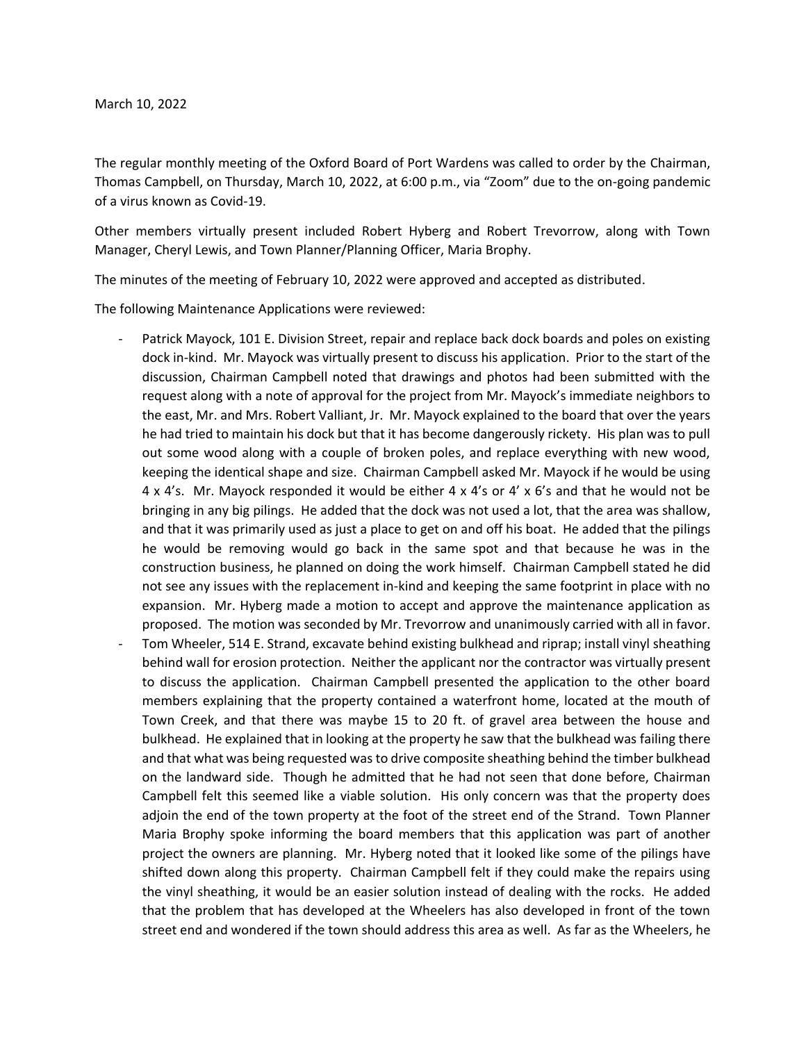## March 10, 2022

The regular monthly meeting of the Oxford Board of Port Wardens was called to order by the Chairman, Thomas Campbell, on Thursday, March 10, 2022, at 6:00 p.m., via "Zoom" due to the on-going pandemic of a virus known as Covid-19.

Other members virtually present included Robert Hyberg and Robert Trevorrow, along with Town Manager, Cheryl Lewis, and Town Planner/Planning Officer, Maria Brophy.

The minutes of the meeting of February 10, 2022 were approved and accepted as distributed.

The following Maintenance Applications were reviewed:

- Patrick Mayock, 101 E. Division Street, repair and replace back dock boards and poles on existing dock in-kind. Mr. Mayock was virtually present to discuss his application. Prior to the start of the discussion, Chairman Campbell noted that drawings and photos had been submitted with the request along with a note of approval for the project from Mr. Mayock's immediate neighbors to the east, Mr. and Mrs. Robert Valliant, Jr. Mr. Mayock explained to the board that over the years he had tried to maintain his dock but that it has become dangerously rickety. His plan was to pull out some wood along with a couple of broken poles, and replace everything with new wood, keeping the identical shape and size. Chairman Campbell asked Mr. Mayock if he would be using 4 x 4's. Mr. Mayock responded it would be either 4 x 4's or 4' x 6's and that he would not be bringing in any big pilings. He added that the dock was not used a lot, that the area was shallow, and that it was primarily used as just a place to get on and off his boat. He added that the pilings he would be removing would go back in the same spot and that because he was in the construction business, he planned on doing the work himself. Chairman Campbell stated he did not see any issues with the replacement in-kind and keeping the same footprint in place with no expansion. Mr. Hyberg made a motion to accept and approve the maintenance application as proposed. The motion was seconded by Mr. Trevorrow and unanimously carried with all in favor.
- Tom Wheeler, 514 E. Strand, excavate behind existing bulkhead and riprap; install vinyl sheathing behind wall for erosion protection. Neither the applicant nor the contractor was virtually present to discuss the application. Chairman Campbell presented the application to the other board members explaining that the property contained a waterfront home, located at the mouth of Town Creek, and that there was maybe 15 to 20 ft. of gravel area between the house and bulkhead. He explained that in looking at the property he saw that the bulkhead was failing there and that what was being requested was to drive composite sheathing behind the timber bulkhead on the landward side. Though he admitted that he had not seen that done before, Chairman Campbell felt this seemed like a viable solution. His only concern was that the property does adjoin the end of the town property at the foot of the street end of the Strand. Town Planner Maria Brophy spoke informing the board members that this application was part of another project the owners are planning. Mr. Hyberg noted that it looked like some of the pilings have shifted down along this property. Chairman Campbell felt if they could make the repairs using the vinyl sheathing, it would be an easier solution instead of dealing with the rocks. He added that the problem that has developed at the Wheelers has also developed in front of the town street end and wondered if the town should address this area as well. As far as the Wheelers, he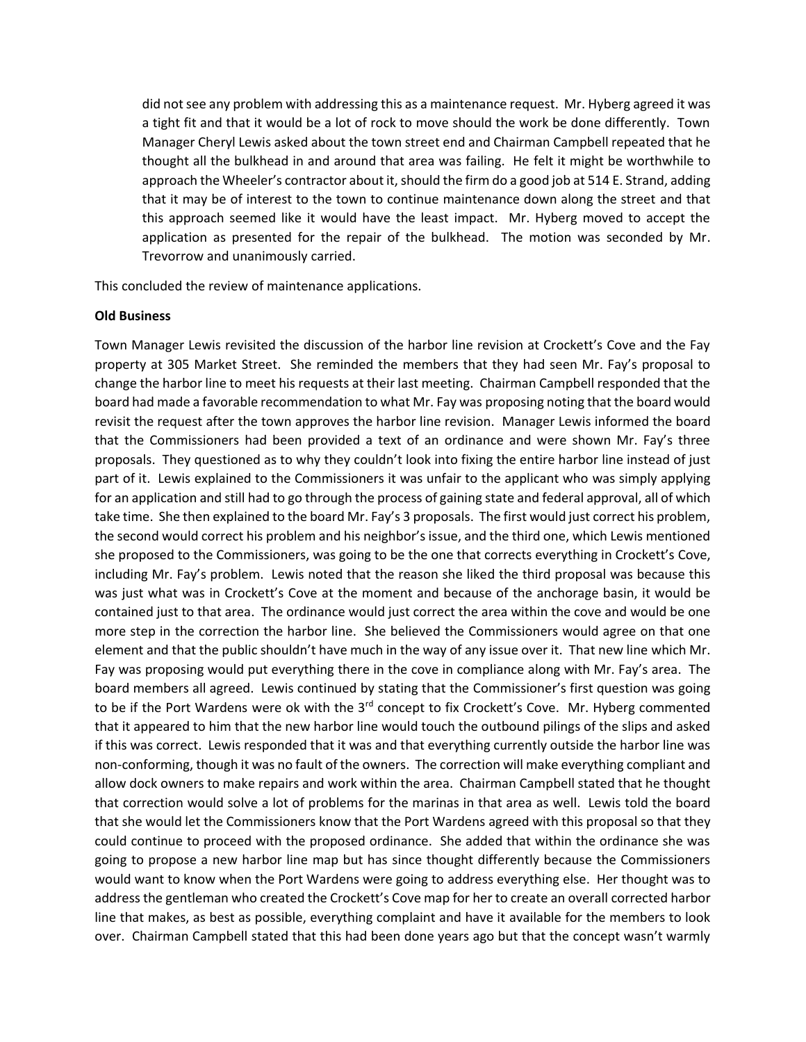did not see any problem with addressing this as a maintenance request. Mr. Hyberg agreed it was a tight fit and that it would be a lot of rock to move should the work be done differently. Town Manager Cheryl Lewis asked about the town street end and Chairman Campbell repeated that he thought all the bulkhead in and around that area was failing. He felt it might be worthwhile to approach the Wheeler's contractor about it, should the firm do a good job at 514 E. Strand, adding that it may be of interest to the town to continue maintenance down along the street and that this approach seemed like it would have the least impact. Mr. Hyberg moved to accept the application as presented for the repair of the bulkhead. The motion was seconded by Mr. Trevorrow and unanimously carried.

This concluded the review of maintenance applications.

## **Old Business**

Town Manager Lewis revisited the discussion of the harbor line revision at Crockett's Cove and the Fay property at 305 Market Street. She reminded the members that they had seen Mr. Fay's proposal to change the harbor line to meet his requests at their last meeting. Chairman Campbell responded that the board had made a favorable recommendation to what Mr. Fay was proposing noting that the board would revisit the request after the town approves the harbor line revision. Manager Lewis informed the board that the Commissioners had been provided a text of an ordinance and were shown Mr. Fay's three proposals. They questioned as to why they couldn't look into fixing the entire harbor line instead of just part of it. Lewis explained to the Commissioners it was unfair to the applicant who was simply applying for an application and still had to go through the process of gaining state and federal approval, all of which take time. She then explained to the board Mr. Fay's 3 proposals. The first would just correct his problem, the second would correct his problem and his neighbor's issue, and the third one, which Lewis mentioned she proposed to the Commissioners, was going to be the one that corrects everything in Crockett's Cove, including Mr. Fay's problem. Lewis noted that the reason she liked the third proposal was because this was just what was in Crockett's Cove at the moment and because of the anchorage basin, it would be contained just to that area. The ordinance would just correct the area within the cove and would be one more step in the correction the harbor line. She believed the Commissioners would agree on that one element and that the public shouldn't have much in the way of any issue over it. That new line which Mr. Fay was proposing would put everything there in the cove in compliance along with Mr. Fay's area. The board members all agreed. Lewis continued by stating that the Commissioner's first question was going to be if the Port Wardens were ok with the 3<sup>rd</sup> concept to fix Crockett's Cove. Mr. Hyberg commented that it appeared to him that the new harbor line would touch the outbound pilings of the slips and asked if this was correct. Lewis responded that it was and that everything currently outside the harbor line was non-conforming, though it was no fault of the owners. The correction will make everything compliant and allow dock owners to make repairs and work within the area. Chairman Campbell stated that he thought that correction would solve a lot of problems for the marinas in that area as well. Lewis told the board that she would let the Commissioners know that the Port Wardens agreed with this proposal so that they could continue to proceed with the proposed ordinance. She added that within the ordinance she was going to propose a new harbor line map but has since thought differently because the Commissioners would want to know when the Port Wardens were going to address everything else. Her thought was to address the gentleman who created the Crockett's Cove map for her to create an overall corrected harbor line that makes, as best as possible, everything complaint and have it available for the members to look over. Chairman Campbell stated that this had been done years ago but that the concept wasn't warmly